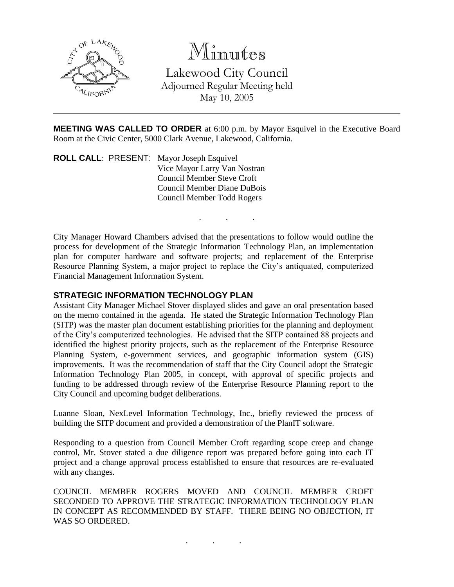

## Minutes

Lakewood City Council Adjourned Regular Meeting held May 10, 2005

**MEETING WAS CALLED TO ORDER** at 6:00 p.m. by Mayor Esquivel in the Executive Board Room at the Civic Center, 5000 Clark Avenue, Lakewood, California.

. . .

**ROLL CALL**: PRESENT: Mayor Joseph Esquivel Vice Mayor Larry Van Nostran Council Member Steve Croft Council Member Diane DuBois Council Member Todd Rogers

City Manager Howard Chambers advised that the presentations to follow would outline the process for development of the Strategic Information Technology Plan, an implementation plan for computer hardware and software projects; and replacement of the Enterprise Resource Planning System, a major project to replace the City's antiquated, computerized Financial Management Information System.

## **STRATEGIC INFORMATION TECHNOLOGY PLAN**

Assistant City Manager Michael Stover displayed slides and gave an oral presentation based on the memo contained in the agenda. He stated the Strategic Information Technology Plan (SITP) was the master plan document establishing priorities for the planning and deployment of the City's computerized technologies. He advised that the SITP contained 88 projects and identified the highest priority projects, such as the replacement of the Enterprise Resource Planning System, e-government services, and geographic information system (GIS) improvements. It was the recommendation of staff that the City Council adopt the Strategic Information Technology Plan 2005, in concept, with approval of specific projects and funding to be addressed through review of the Enterprise Resource Planning report to the City Council and upcoming budget deliberations.

Luanne Sloan, NexLevel Information Technology, Inc., briefly reviewed the process of building the SITP document and provided a demonstration of the PlanIT software.

Responding to a question from Council Member Croft regarding scope creep and change control, Mr. Stover stated a due diligence report was prepared before going into each IT project and a change approval process established to ensure that resources are re-evaluated with any changes.

COUNCIL MEMBER ROGERS MOVED AND COUNCIL MEMBER CROFT SECONDED TO APPROVE THE STRATEGIC INFORMATION TECHNOLOGY PLAN IN CONCEPT AS RECOMMENDED BY STAFF. THERE BEING NO OBJECTION, IT WAS SO ORDERED.

. . .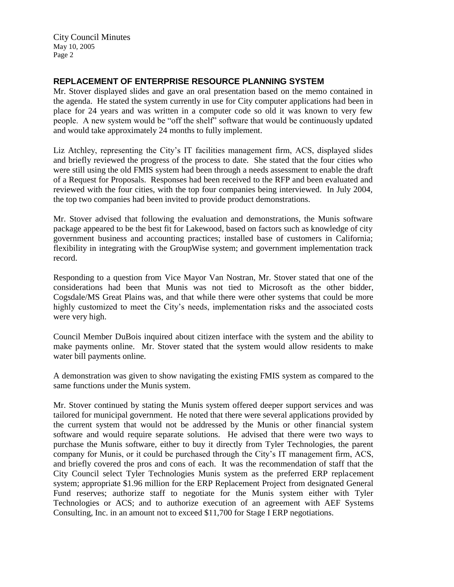City Council Minutes May 10, 2005 Page 2

## **REPLACEMENT OF ENTERPRISE RESOURCE PLANNING SYSTEM**

Mr. Stover displayed slides and gave an oral presentation based on the memo contained in the agenda. He stated the system currently in use for City computer applications had been in place for 24 years and was written in a computer code so old it was known to very few people. A new system would be "off the shelf" software that would be continuously updated and would take approximately 24 months to fully implement.

Liz Atchley, representing the City's IT facilities management firm, ACS, displayed slides and briefly reviewed the progress of the process to date. She stated that the four cities who were still using the old FMIS system had been through a needs assessment to enable the draft of a Request for Proposals. Responses had been received to the RFP and been evaluated and reviewed with the four cities, with the top four companies being interviewed. In July 2004, the top two companies had been invited to provide product demonstrations.

Mr. Stover advised that following the evaluation and demonstrations, the Munis software package appeared to be the best fit for Lakewood, based on factors such as knowledge of city government business and accounting practices; installed base of customers in California; flexibility in integrating with the GroupWise system; and government implementation track record.

Responding to a question from Vice Mayor Van Nostran, Mr. Stover stated that one of the considerations had been that Munis was not tied to Microsoft as the other bidder, Cogsdale/MS Great Plains was, and that while there were other systems that could be more highly customized to meet the City's needs, implementation risks and the associated costs were very high.

Council Member DuBois inquired about citizen interface with the system and the ability to make payments online. Mr. Stover stated that the system would allow residents to make water bill payments online.

A demonstration was given to show navigating the existing FMIS system as compared to the same functions under the Munis system.

Mr. Stover continued by stating the Munis system offered deeper support services and was tailored for municipal government. He noted that there were several applications provided by the current system that would not be addressed by the Munis or other financial system software and would require separate solutions. He advised that there were two ways to purchase the Munis software, either to buy it directly from Tyler Technologies, the parent company for Munis, or it could be purchased through the City's IT management firm, ACS, and briefly covered the pros and cons of each. It was the recommendation of staff that the City Council select Tyler Technologies Munis system as the preferred ERP replacement system; appropriate \$1.96 million for the ERP Replacement Project from designated General Fund reserves; authorize staff to negotiate for the Munis system either with Tyler Technologies or ACS; and to authorize execution of an agreement with AEF Systems Consulting, Inc. in an amount not to exceed \$11,700 for Stage I ERP negotiations.